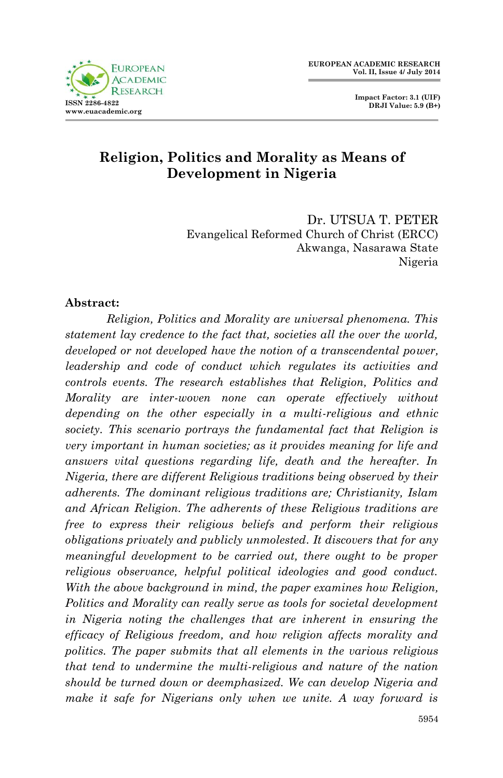

# **Religion, Politics and Morality as Means of Development in Nigeria**

Dr. UTSUA T. PETER Evangelical Reformed Church of Christ (ERCC) Akwanga, Nasarawa State Nigeria

#### **Abstract:**

*Religion, Politics and Morality are universal phenomena. This statement lay credence to the fact that, societies all the over the world, developed or not developed have the notion of a transcendental power, leadership and code of conduct which regulates its activities and controls events. The research establishes that Religion, Politics and Morality are inter-woven none can operate effectively without depending on the other especially in a multi-religious and ethnic society. This scenario portrays the fundamental fact that Religion is very important in human societies; as it provides meaning for life and answers vital questions regarding life, death and the hereafter. In Nigeria, there are different Religious traditions being observed by their adherents. The dominant religious traditions are; Christianity, Islam and African Religion. The adherents of these Religious traditions are free to express their religious beliefs and perform their religious obligations privately and publicly unmolested. It discovers that for any meaningful development to be carried out, there ought to be proper religious observance, helpful political ideologies and good conduct. With the above background in mind, the paper examines how Religion, Politics and Morality can really serve as tools for societal development in Nigeria noting the challenges that are inherent in ensuring the efficacy of Religious freedom, and how religion affects morality and politics. The paper submits that all elements in the various religious that tend to undermine the multi-religious and nature of the nation should be turned down or deemphasized. We can develop Nigeria and make it safe for Nigerians only when we unite. A way forward is*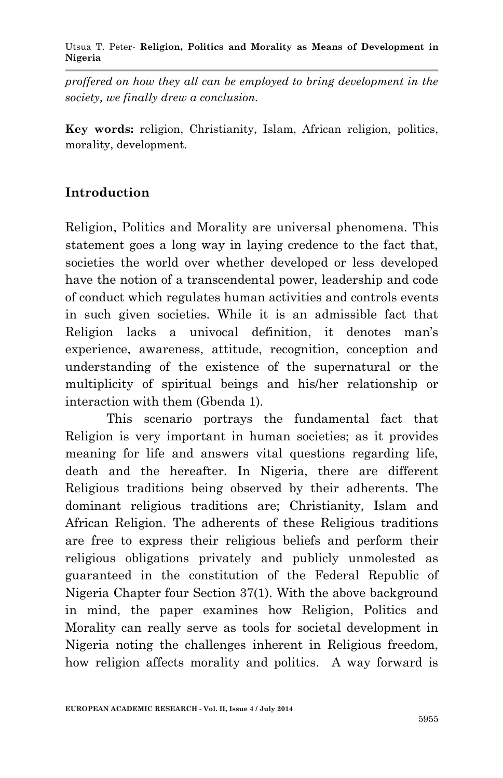#### Utsua T. Peter*-* **Religion, Politics and Morality as Means of Development in Nigeria**

*proffered on how they all can be employed to bring development in the society, we finally drew a conclusion.* 

**Key words:** religion, Christianity, Islam, African religion, politics, morality, development.

## **Introduction**

Religion, Politics and Morality are universal phenomena. This statement goes a long way in laying credence to the fact that, societies the world over whether developed or less developed have the notion of a transcendental power, leadership and code of conduct which regulates human activities and controls events in such given societies. While it is an admissible fact that Religion lacks a univocal definition, it denotes man's experience, awareness, attitude, recognition, conception and understanding of the existence of the supernatural or the multiplicity of spiritual beings and his/her relationship or interaction with them (Gbenda 1).

This scenario portrays the fundamental fact that Religion is very important in human societies; as it provides meaning for life and answers vital questions regarding life, death and the hereafter. In Nigeria, there are different Religious traditions being observed by their adherents. The dominant religious traditions are; Christianity, Islam and African Religion. The adherents of these Religious traditions are free to express their religious beliefs and perform their religious obligations privately and publicly unmolested as guaranteed in the constitution of the Federal Republic of Nigeria Chapter four Section 37(1). With the above background in mind, the paper examines how Religion, Politics and Morality can really serve as tools for societal development in Nigeria noting the challenges inherent in Religious freedom, how religion affects morality and politics. A way forward is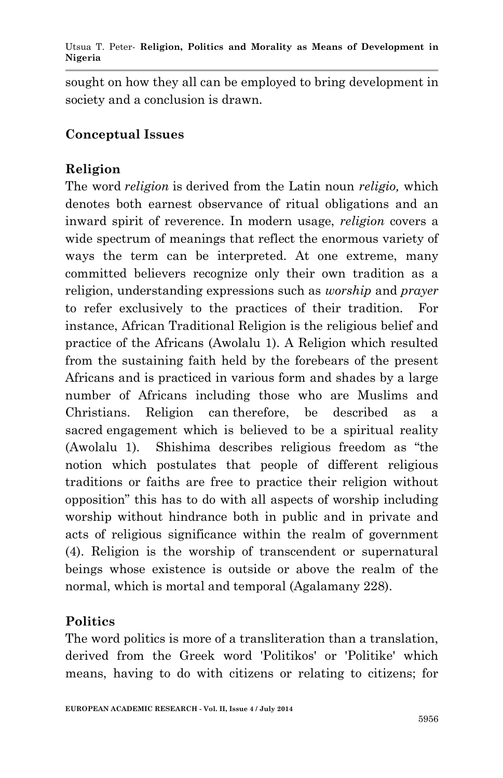Utsua T. Peter*-* **Religion, Politics and Morality as Means of Development in Nigeria**

sought on how they all can be employed to bring development in society and a conclusion is drawn.

#### **Conceptual Issues**

## **Religion**

The word *religion* is derived from the Latin noun *religio,* which denotes both earnest observance of ritual obligations and an inward spirit of reverence. In modern usage, *religion* covers a wide spectrum of meanings that reflect the enormous variety of ways the term can be interpreted. At one extreme, many committed believers recognize only their own tradition as a religion, understanding expressions such as *worship* and *prayer* to refer exclusively to the practices of their tradition. For instance, African Traditional Religion is the religious belief and practice of the Africans (Awolalu 1). A Religion which resulted from the sustaining faith held by the forebears of the present Africans and is practiced in various form and shades by a large number of Africans including those who are Muslims and Christians. Religion can therefore, be described as a sacred engagement which is believed to be a spiritual reality (Awolalu 1). Shishima describes religious freedom as "the notion which postulates that people of different religious traditions or faiths are free to practice their religion without opposition" this has to do with all aspects of worship including worship without hindrance both in public and in private and acts of religious significance within the realm of government (4). Religion is the worship of transcendent or supernatural beings whose existence is outside or above the realm of the normal, which is mortal and temporal (Agalamany 228).

# **Politics**

The word politics is more of a transliteration than a translation, derived from the Greek word 'Politikos' or 'Politike' which means, having to do with citizens or relating to citizens; for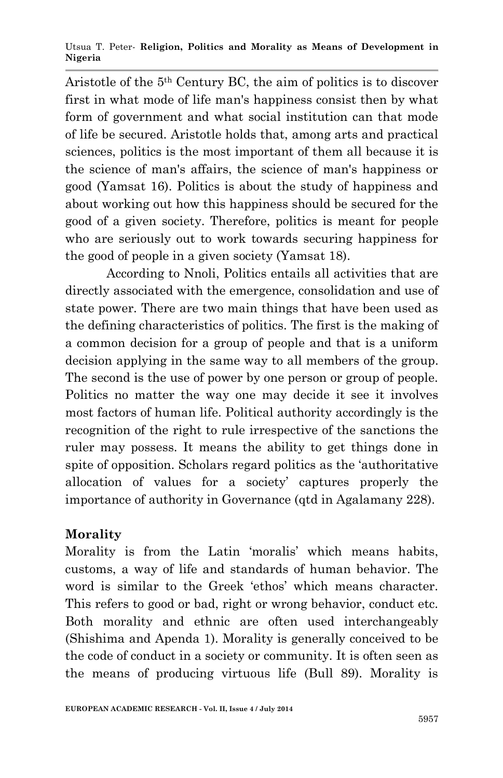Utsua T. Peter*-* **Religion, Politics and Morality as Means of Development in Nigeria**

Aristotle of the 5th Century BC, the aim of politics is to discover first in what mode of life man's happiness consist then by what form of government and what social institution can that mode of life be secured. Aristotle holds that, among arts and practical sciences, politics is the most important of them all because it is the science of man's affairs, the science of man's happiness or good (Yamsat 16). Politics is about the study of happiness and about working out how this happiness should be secured for the good of a given society. Therefore, politics is meant for people who are seriously out to work towards securing happiness for the good of people in a given society (Yamsat 18).

According to Nnoli, Politics entails all activities that are directly associated with the emergence, consolidation and use of state power. There are two main things that have been used as the defining characteristics of politics. The first is the making of a common decision for a group of people and that is a uniform decision applying in the same way to all members of the group. The second is the use of power by one person or group of people. Politics no matter the way one may decide it see it involves most factors of human life. Political authority accordingly is the recognition of the right to rule irrespective of the sanctions the ruler may possess. It means the ability to get things done in spite of opposition. Scholars regard politics as the 'authoritative allocation of values for a society' captures properly the importance of authority in Governance (qtd in Agalamany 228).

## **Morality**

Morality is from the Latin 'moralis' which means habits, customs, a way of life and standards of human behavior. The word is similar to the Greek 'ethos' which means character. This refers to good or bad, right or wrong behavior, conduct etc. Both morality and ethnic are often used interchangeably (Shishima and Apenda 1). Morality is generally conceived to be the code of conduct in a society or community. It is often seen as the means of producing virtuous life (Bull 89). Morality is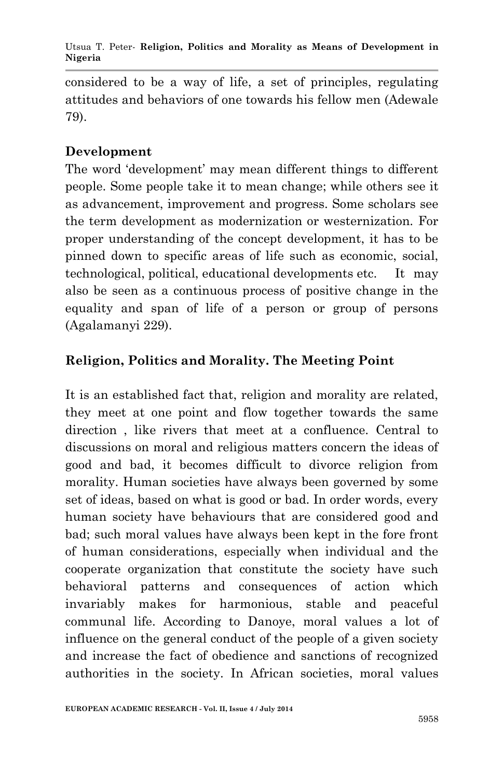considered to be a way of life, a set of principles, regulating attitudes and behaviors of one towards his fellow men (Adewale 79).

# **Development**

The word 'development' may mean different things to different people. Some people take it to mean change; while others see it as advancement, improvement and progress. Some scholars see the term development as modernization or westernization. For proper understanding of the concept development, it has to be pinned down to specific areas of life such as economic, social, technological, political, educational developments etc. It may also be seen as a continuous process of positive change in the equality and span of life of a person or group of persons (Agalamanyi 229).

# **Religion, Politics and Morality. The Meeting Point**

It is an established fact that, religion and morality are related, they meet at one point and flow together towards the same direction , like rivers that meet at a confluence. Central to discussions on moral and religious matters concern the ideas of good and bad, it becomes difficult to divorce religion from morality. Human societies have always been governed by some set of ideas, based on what is good or bad. In order words, every human society have behaviours that are considered good and bad; such moral values have always been kept in the fore front of human considerations, especially when individual and the cooperate organization that constitute the society have such behavioral patterns and consequences of action which invariably makes for harmonious, stable and peaceful communal life. According to Danoye, moral values a lot of influence on the general conduct of the people of a given society and increase the fact of obedience and sanctions of recognized authorities in the society. In African societies, moral values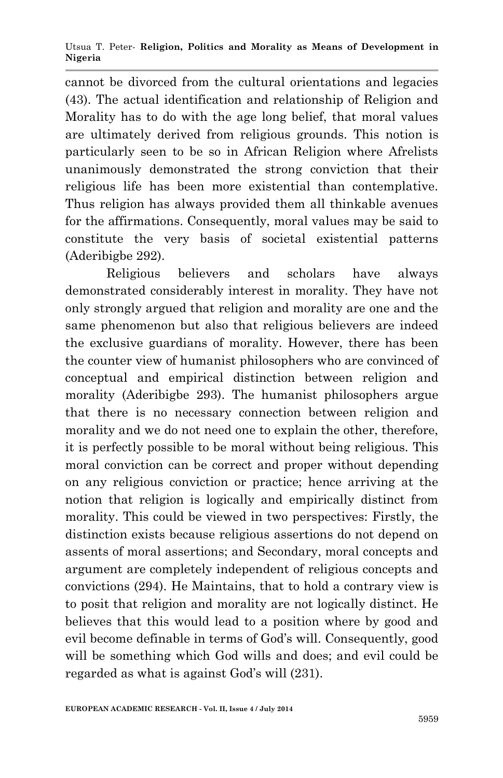Utsua T. Peter*-* **Religion, Politics and Morality as Means of Development in Nigeria**

cannot be divorced from the cultural orientations and legacies (43). The actual identification and relationship of Religion and Morality has to do with the age long belief, that moral values are ultimately derived from religious grounds. This notion is particularly seen to be so in African Religion where Afrelists unanimously demonstrated the strong conviction that their religious life has been more existential than contemplative. Thus religion has always provided them all thinkable avenues for the affirmations. Consequently, moral values may be said to constitute the very basis of societal existential patterns (Aderibigbe 292).

Religious believers and scholars have always demonstrated considerably interest in morality. They have not only strongly argued that religion and morality are one and the same phenomenon but also that religious believers are indeed the exclusive guardians of morality. However, there has been the counter view of humanist philosophers who are convinced of conceptual and empirical distinction between religion and morality (Aderibigbe 293). The humanist philosophers argue that there is no necessary connection between religion and morality and we do not need one to explain the other, therefore, it is perfectly possible to be moral without being religious. This moral conviction can be correct and proper without depending on any religious conviction or practice; hence arriving at the notion that religion is logically and empirically distinct from morality. This could be viewed in two perspectives: Firstly, the distinction exists because religious assertions do not depend on assents of moral assertions; and Secondary, moral concepts and argument are completely independent of religious concepts and convictions (294). He Maintains, that to hold a contrary view is to posit that religion and morality are not logically distinct. He believes that this would lead to a position where by good and evil become definable in terms of God's will. Consequently, good will be something which God wills and does; and evil could be regarded as what is against God's will (231).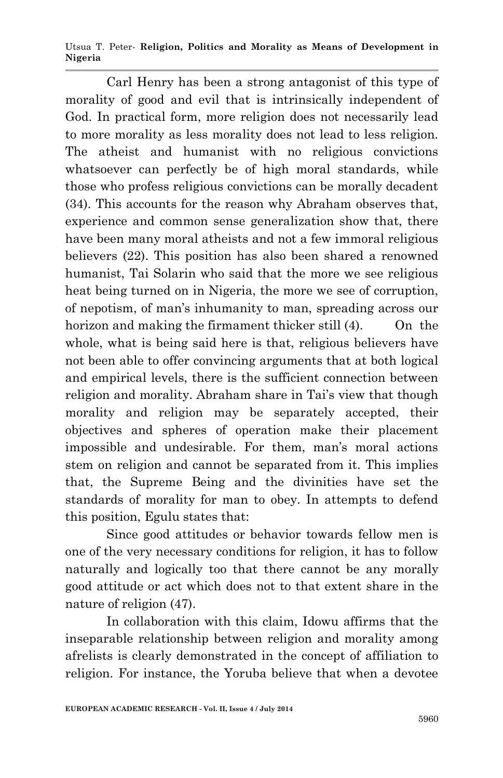Utsua T. Peter*-* **Religion, Politics and Morality as Means of Development in Nigeria**

Carl Henry has been a strong antagonist of this type of morality of good and evil that is intrinsically independent of God. In practical form, more religion does not necessarily lead to more morality as less morality does not lead to less religion. The atheist and humanist with no religious convictions whatsoever can perfectly be of high moral standards, while those who profess religious convictions can be morally decadent (34). This accounts for the reason why Abraham observes that, experience and common sense generalization show that, there have been many moral atheists and not a few immoral religious believers (22). This position has also been shared a renowned humanist, Tai Solarin who said that the more we see religious heat being turned on in Nigeria, the more we see of corruption, of nepotism, of man's inhumanity to man, spreading across our horizon and making the firmament thicker still (4). On the whole, what is being said here is that, religious believers have not been able to offer convincing arguments that at both logical and empirical levels, there is the sufficient connection between religion and morality. Abraham share in Tai's view that though morality and religion may be separately accepted, their objectives and spheres of operation make their placement impossible and undesirable. For them, man's moral actions stem on religion and cannot be separated from it. This implies that, the Supreme Being and the divinities have set the standards of morality for man to obey. In attempts to defend this position, Egulu states that:

Since good attitudes or behavior towards fellow men is one of the very necessary conditions for religion, it has to follow naturally and logically too that there cannot be any morally good attitude or act which does not to that extent share in the nature of religion (47).

In collaboration with this claim, Idowu affirms that the inseparable relationship between religion and morality among afrelists is clearly demonstrated in the concept of affiliation to religion. For instance, the Yoruba believe that when a devotee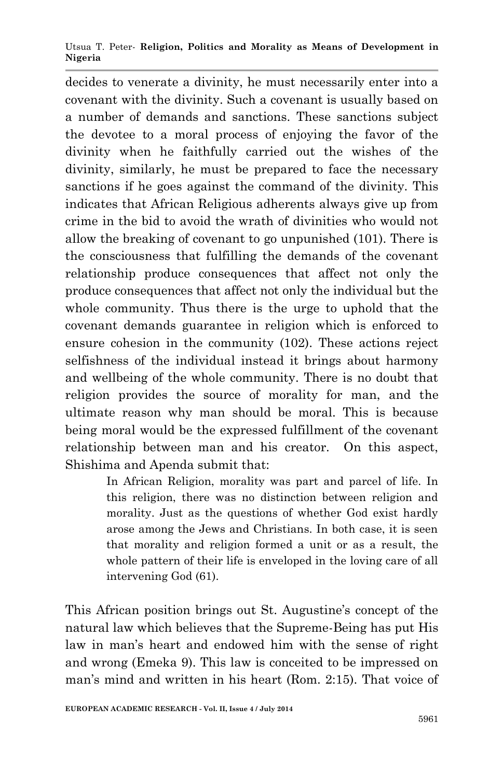Utsua T. Peter*-* **Religion, Politics and Morality as Means of Development in Nigeria**

decides to venerate a divinity, he must necessarily enter into a covenant with the divinity. Such a covenant is usually based on a number of demands and sanctions. These sanctions subject the devotee to a moral process of enjoying the favor of the divinity when he faithfully carried out the wishes of the divinity, similarly, he must be prepared to face the necessary sanctions if he goes against the command of the divinity. This indicates that African Religious adherents always give up from crime in the bid to avoid the wrath of divinities who would not allow the breaking of covenant to go unpunished (101). There is the consciousness that fulfilling the demands of the covenant relationship produce consequences that affect not only the produce consequences that affect not only the individual but the whole community. Thus there is the urge to uphold that the covenant demands guarantee in religion which is enforced to ensure cohesion in the community (102). These actions reject selfishness of the individual instead it brings about harmony and wellbeing of the whole community. There is no doubt that religion provides the source of morality for man, and the ultimate reason why man should be moral. This is because being moral would be the expressed fulfillment of the covenant relationship between man and his creator. On this aspect, Shishima and Apenda submit that:

> In African Religion, morality was part and parcel of life. In this religion, there was no distinction between religion and morality. Just as the questions of whether God exist hardly arose among the Jews and Christians. In both case, it is seen that morality and religion formed a unit or as a result, the whole pattern of their life is enveloped in the loving care of all intervening God (61).

This African position brings out St. Augustine's concept of the natural law which believes that the Supreme-Being has put His law in man's heart and endowed him with the sense of right and wrong (Emeka 9). This law is conceited to be impressed on man's mind and written in his heart (Rom. 2:15). That voice of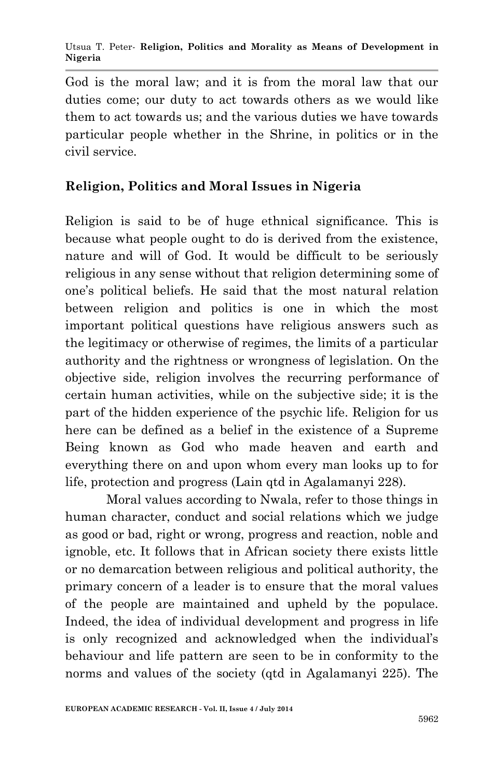Utsua T. Peter*-* **Religion, Politics and Morality as Means of Development in Nigeria**

God is the moral law; and it is from the moral law that our duties come; our duty to act towards others as we would like them to act towards us; and the various duties we have towards particular people whether in the Shrine, in politics or in the civil service.

## **Religion, Politics and Moral Issues in Nigeria**

Religion is said to be of huge ethnical significance. This is because what people ought to do is derived from the existence, nature and will of God. It would be difficult to be seriously religious in any sense without that religion determining some of one's political beliefs. He said that the most natural relation between religion and politics is one in which the most important political questions have religious answers such as the legitimacy or otherwise of regimes, the limits of a particular authority and the rightness or wrongness of legislation. On the objective side, religion involves the recurring performance of certain human activities, while on the subjective side; it is the part of the hidden experience of the psychic life. Religion for us here can be defined as a belief in the existence of a Supreme Being known as God who made heaven and earth and everything there on and upon whom every man looks up to for life, protection and progress (Lain qtd in Agalamanyi 228).

Moral values according to Nwala, refer to those things in human character, conduct and social relations which we judge as good or bad, right or wrong, progress and reaction, noble and ignoble, etc. It follows that in African society there exists little or no demarcation between religious and political authority, the primary concern of a leader is to ensure that the moral values of the people are maintained and upheld by the populace. Indeed, the idea of individual development and progress in life is only recognized and acknowledged when the individual's behaviour and life pattern are seen to be in conformity to the norms and values of the society (qtd in Agalamanyi 225). The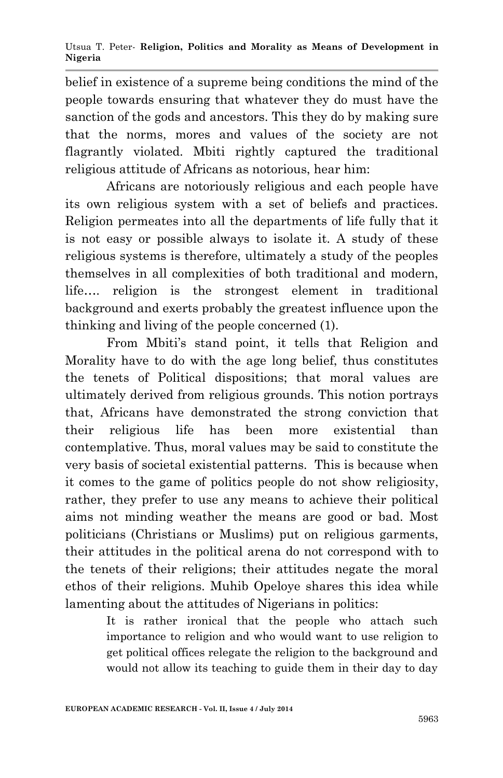belief in existence of a supreme being conditions the mind of the people towards ensuring that whatever they do must have the sanction of the gods and ancestors. This they do by making sure that the norms, mores and values of the society are not flagrantly violated. Mbiti rightly captured the traditional religious attitude of Africans as notorious, hear him:

Africans are notoriously religious and each people have its own religious system with a set of beliefs and practices. Religion permeates into all the departments of life fully that it is not easy or possible always to isolate it. A study of these religious systems is therefore, ultimately a study of the peoples themselves in all complexities of both traditional and modern, life…. religion is the strongest element in traditional background and exerts probably the greatest influence upon the thinking and living of the people concerned (1).

From Mbiti's stand point, it tells that Religion and Morality have to do with the age long belief, thus constitutes the tenets of Political dispositions; that moral values are ultimately derived from religious grounds. This notion portrays that, Africans have demonstrated the strong conviction that their religious life has been more existential than contemplative. Thus, moral values may be said to constitute the very basis of societal existential patterns. This is because when it comes to the game of politics people do not show religiosity, rather, they prefer to use any means to achieve their political aims not minding weather the means are good or bad. Most politicians (Christians or Muslims) put on religious garments, their attitudes in the political arena do not correspond with to the tenets of their religions; their attitudes negate the moral ethos of their religions. Muhib Opeloye shares this idea while lamenting about the attitudes of Nigerians in politics:

> It is rather ironical that the people who attach such importance to religion and who would want to use religion to get political offices relegate the religion to the background and would not allow its teaching to guide them in their day to day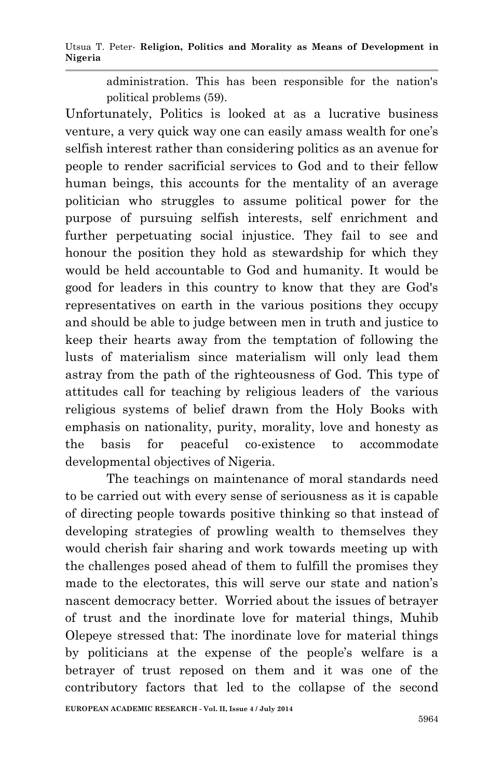Utsua T. Peter*-* **Religion, Politics and Morality as Means of Development in Nigeria**

administration. This has been responsible for the nation's political problems (59).

Unfortunately, Politics is looked at as a lucrative business venture, a very quick way one can easily amass wealth for one's selfish interest rather than considering politics as an avenue for people to render sacrificial services to God and to their fellow human beings, this accounts for the mentality of an average politician who struggles to assume political power for the purpose of pursuing selfish interests, self enrichment and further perpetuating social injustice. They fail to see and honour the position they hold as stewardship for which they would be held accountable to God and humanity. It would be good for leaders in this country to know that they are God's representatives on earth in the various positions they occupy and should be able to judge between men in truth and justice to keep their hearts away from the temptation of following the lusts of materialism since materialism will only lead them astray from the path of the righteousness of God. This type of attitudes call for teaching by religious leaders of the various religious systems of belief drawn from the Holy Books with emphasis on nationality, purity, morality, love and honesty as the basis for peaceful co-existence to accommodate developmental objectives of Nigeria.

The teachings on maintenance of moral standards need to be carried out with every sense of seriousness as it is capable of directing people towards positive thinking so that instead of developing strategies of prowling wealth to themselves they would cherish fair sharing and work towards meeting up with the challenges posed ahead of them to fulfill the promises they made to the electorates, this will serve our state and nation's nascent democracy better. Worried about the issues of betrayer of trust and the inordinate love for material things, Muhib Olepeye stressed that: The inordinate love for material things by politicians at the expense of the people's welfare is a betrayer of trust reposed on them and it was one of the contributory factors that led to the collapse of the second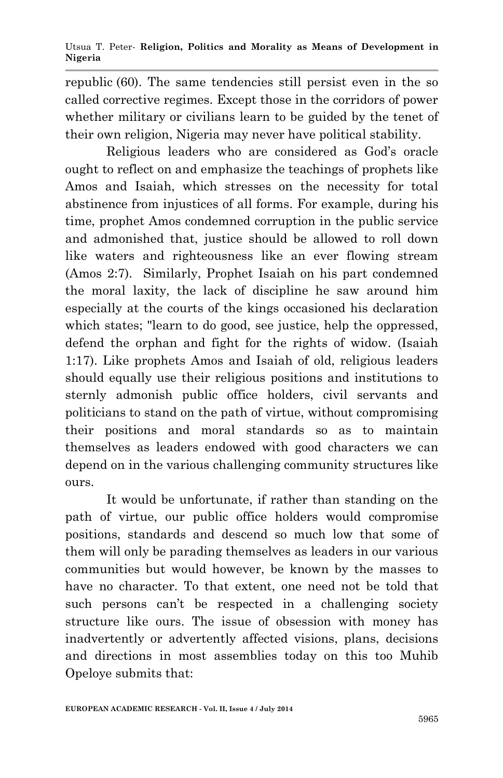republic (60). The same tendencies still persist even in the so called corrective regimes. Except those in the corridors of power whether military or civilians learn to be guided by the tenet of their own religion, Nigeria may never have political stability.

Religious leaders who are considered as God's oracle ought to reflect on and emphasize the teachings of prophets like Amos and Isaiah, which stresses on the necessity for total abstinence from injustices of all forms. For example, during his time, prophet Amos condemned corruption in the public service and admonished that, justice should be allowed to roll down like waters and righteousness like an ever flowing stream (Amos 2:7). Similarly, Prophet Isaiah on his part condemned the moral laxity, the lack of discipline he saw around him especially at the courts of the kings occasioned his declaration which states; "learn to do good, see justice, help the oppressed, defend the orphan and fight for the rights of widow. (Isaiah 1:17). Like prophets Amos and Isaiah of old, religious leaders should equally use their religious positions and institutions to sternly admonish public office holders, civil servants and politicians to stand on the path of virtue, without compromising their positions and moral standards so as to maintain themselves as leaders endowed with good characters we can depend on in the various challenging community structures like ours.

It would be unfortunate, if rather than standing on the path of virtue, our public office holders would compromise positions, standards and descend so much low that some of them will only be parading themselves as leaders in our various communities but would however, be known by the masses to have no character. To that extent, one need not be told that such persons can't be respected in a challenging society structure like ours. The issue of obsession with money has inadvertently or advertently affected visions, plans, decisions and directions in most assemblies today on this too Muhib Opeloye submits that: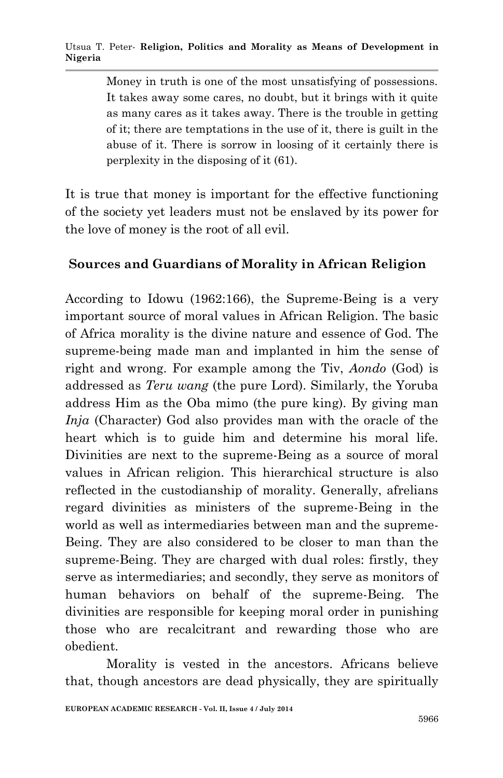Money in truth is one of the most unsatisfying of possessions. It takes away some cares, no doubt, but it brings with it quite as many cares as it takes away. There is the trouble in getting of it; there are temptations in the use of it, there is guilt in the abuse of it. There is sorrow in loosing of it certainly there is perplexity in the disposing of it (61).

It is true that money is important for the effective functioning of the society yet leaders must not be enslaved by its power for the love of money is the root of all evil.

## **Sources and Guardians of Morality in African Religion**

According to Idowu (1962:166), the Supreme-Being is a very important source of moral values in African Religion. The basic of Africa morality is the divine nature and essence of God. The supreme-being made man and implanted in him the sense of right and wrong. For example among the Tiv, *Aondo* (God) is addressed as *Teru wang* (the pure Lord). Similarly, the Yoruba address Him as the Oba mimo (the pure king). By giving man *Inja* (Character) God also provides man with the oracle of the heart which is to guide him and determine his moral life. Divinities are next to the supreme-Being as a source of moral values in African religion. This hierarchical structure is also reflected in the custodianship of morality. Generally, afrelians regard divinities as ministers of the supreme-Being in the world as well as intermediaries between man and the supreme-Being. They are also considered to be closer to man than the supreme-Being. They are charged with dual roles: firstly, they serve as intermediaries; and secondly, they serve as monitors of human behaviors on behalf of the supreme-Being. The divinities are responsible for keeping moral order in punishing those who are recalcitrant and rewarding those who are obedient.

Morality is vested in the ancestors. Africans believe that, though ancestors are dead physically, they are spiritually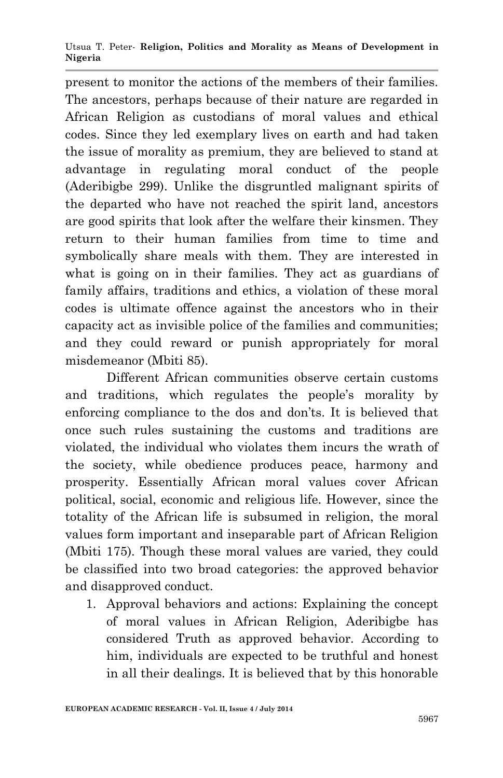Utsua T. Peter*-* **Religion, Politics and Morality as Means of Development in Nigeria**

present to monitor the actions of the members of their families. The ancestors, perhaps because of their nature are regarded in African Religion as custodians of moral values and ethical codes. Since they led exemplary lives on earth and had taken the issue of morality as premium, they are believed to stand at advantage in regulating moral conduct of the people (Aderibigbe 299). Unlike the disgruntled malignant spirits of the departed who have not reached the spirit land, ancestors are good spirits that look after the welfare their kinsmen. They return to their human families from time to time and symbolically share meals with them. They are interested in what is going on in their families. They act as guardians of family affairs, traditions and ethics, a violation of these moral codes is ultimate offence against the ancestors who in their capacity act as invisible police of the families and communities; and they could reward or punish appropriately for moral misdemeanor (Mbiti 85).

Different African communities observe certain customs and traditions, which regulates the people's morality by enforcing compliance to the dos and don'ts. It is believed that once such rules sustaining the customs and traditions are violated, the individual who violates them incurs the wrath of the society, while obedience produces peace, harmony and prosperity. Essentially African moral values cover African political, social, economic and religious life. However, since the totality of the African life is subsumed in religion, the moral values form important and inseparable part of African Religion (Mbiti 175). Though these moral values are varied, they could be classified into two broad categories: the approved behavior and disapproved conduct.

1. Approval behaviors and actions: Explaining the concept of moral values in African Religion, Aderibigbe has considered Truth as approved behavior. According to him, individuals are expected to be truthful and honest in all their dealings. It is believed that by this honorable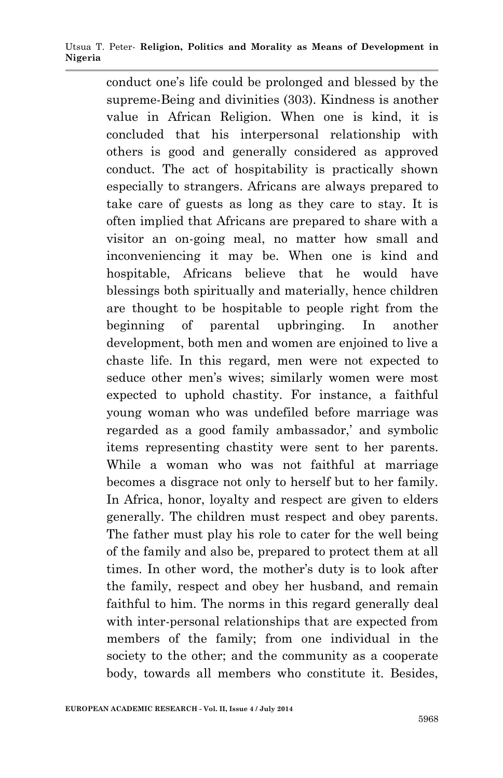Utsua T. Peter*-* **Religion, Politics and Morality as Means of Development in Nigeria**

conduct one's life could be prolonged and blessed by the supreme-Being and divinities (303). Kindness is another value in African Religion. When one is kind, it is concluded that his interpersonal relationship with others is good and generally considered as approved conduct. The act of hospitability is practically shown especially to strangers. Africans are always prepared to take care of guests as long as they care to stay. It is often implied that Africans are prepared to share with a visitor an on-going meal, no matter how small and inconveniencing it may be. When one is kind and hospitable, Africans believe that he would have blessings both spiritually and materially, hence children are thought to be hospitable to people right from the beginning of parental upbringing. In another development, both men and women are enjoined to live a chaste life. In this regard, men were not expected to seduce other men's wives; similarly women were most expected to uphold chastity. For instance, a faithful young woman who was undefiled before marriage was regarded as a good family ambassador,' and symbolic items representing chastity were sent to her parents. While a woman who was not faithful at marriage becomes a disgrace not only to herself but to her family. In Africa, honor, loyalty and respect are given to elders generally. The children must respect and obey parents. The father must play his role to cater for the well being of the family and also be, prepared to protect them at all times. In other word, the mother's duty is to look after the family, respect and obey her husband, and remain faithful to him. The norms in this regard generally deal with inter-personal relationships that are expected from members of the family; from one individual in the society to the other; and the community as a cooperate body, towards all members who constitute it. Besides,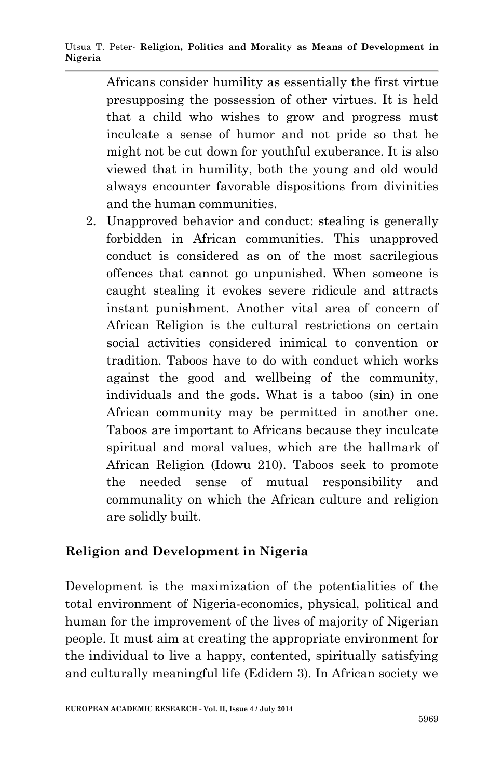Africans consider humility as essentially the first virtue presupposing the possession of other virtues. It is held that a child who wishes to grow and progress must inculcate a sense of humor and not pride so that he might not be cut down for youthful exuberance. It is also viewed that in humility, both the young and old would always encounter favorable dispositions from divinities and the human communities.

2. Unapproved behavior and conduct: stealing is generally forbidden in African communities. This unapproved conduct is considered as on of the most sacrilegious offences that cannot go unpunished. When someone is caught stealing it evokes severe ridicule and attracts instant punishment. Another vital area of concern of African Religion is the cultural restrictions on certain social activities considered inimical to convention or tradition. Taboos have to do with conduct which works against the good and wellbeing of the community, individuals and the gods. What is a taboo (sin) in one African community may be permitted in another one. Taboos are important to Africans because they inculcate spiritual and moral values, which are the hallmark of African Religion (Idowu 210). Taboos seek to promote the needed sense of mutual responsibility and communality on which the African culture and religion are solidly built.

## **Religion and Development in Nigeria**

Development is the maximization of the potentialities of the total environment of Nigeria-economics, physical, political and human for the improvement of the lives of majority of Nigerian people. It must aim at creating the appropriate environment for the individual to live a happy, contented, spiritually satisfying and culturally meaningful life (Edidem 3). In African society we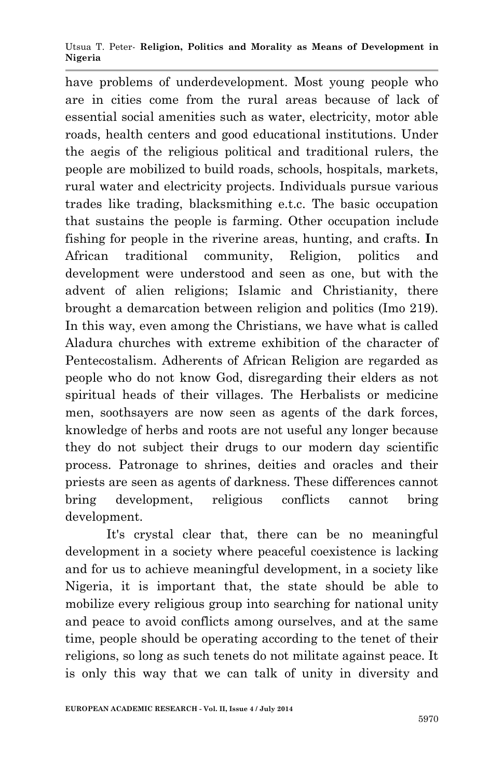Utsua T. Peter*-* **Religion, Politics and Morality as Means of Development in Nigeria**

have problems of underdevelopment. Most young people who are in cities come from the rural areas because of lack of essential social amenities such as water, electricity, motor able roads, health centers and good educational institutions. Under the aegis of the religious political and traditional rulers, the people are mobilized to build roads, schools, hospitals, markets, rural water and electricity projects. Individuals pursue various trades like trading, blacksmithing e.t.c. The basic occupation that sustains the people is farming. Other occupation include fishing for people in the riverine areas, hunting, and crafts. **I**n African traditional community, Religion, politics and development were understood and seen as one, but with the advent of alien religions; Islamic and Christianity, there brought a demarcation between religion and politics (Imo 219). In this way, even among the Christians, we have what is called Aladura churches with extreme exhibition of the character of Pentecostalism. Adherents of African Religion are regarded as people who do not know God, disregarding their elders as not spiritual heads of their villages. The Herbalists or medicine men, soothsayers are now seen as agents of the dark forces, knowledge of herbs and roots are not useful any longer because they do not subject their drugs to our modern day scientific process. Patronage to shrines, deities and oracles and their priests are seen as agents of darkness. These differences cannot bring development, religious conflicts cannot bring development.

It's crystal clear that, there can be no meaningful development in a society where peaceful coexistence is lacking and for us to achieve meaningful development, in a society like Nigeria, it is important that, the state should be able to mobilize every religious group into searching for national unity and peace to avoid conflicts among ourselves, and at the same time, people should be operating according to the tenet of their religions, so long as such tenets do not militate against peace. It is only this way that we can talk of unity in diversity and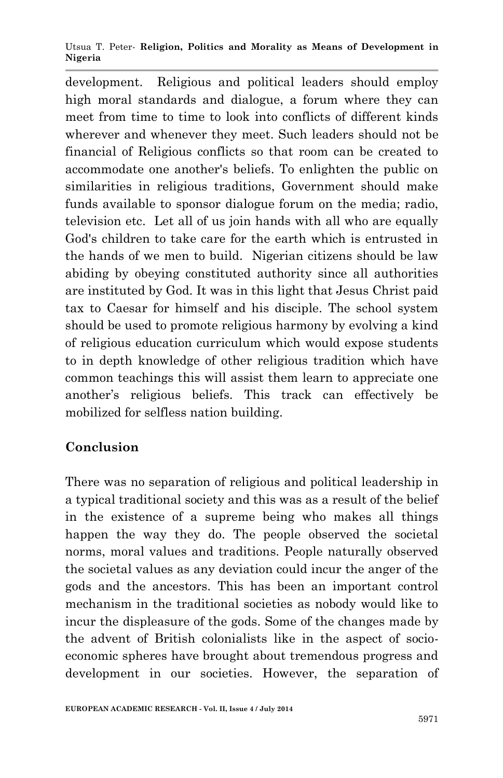Utsua T. Peter*-* **Religion, Politics and Morality as Means of Development in Nigeria**

development. Religious and political leaders should employ high moral standards and dialogue, a forum where they can meet from time to time to look into conflicts of different kinds wherever and whenever they meet. Such leaders should not be financial of Religious conflicts so that room can be created to accommodate one another's beliefs. To enlighten the public on similarities in religious traditions, Government should make funds available to sponsor dialogue forum on the media; radio, television etc. Let all of us join hands with all who are equally God's children to take care for the earth which is entrusted in the hands of we men to build. Nigerian citizens should be law abiding by obeying constituted authority since all authorities are instituted by God. It was in this light that Jesus Christ paid tax to Caesar for himself and his disciple. The school system should be used to promote religious harmony by evolving a kind of religious education curriculum which would expose students to in depth knowledge of other religious tradition which have common teachings this will assist them learn to appreciate one another's religious beliefs. This track can effectively be mobilized for selfless nation building.

## **Conclusion**

There was no separation of religious and political leadership in a typical traditional society and this was as a result of the belief in the existence of a supreme being who makes all things happen the way they do. The people observed the societal norms, moral values and traditions. People naturally observed the societal values as any deviation could incur the anger of the gods and the ancestors. This has been an important control mechanism in the traditional societies as nobody would like to incur the displeasure of the gods. Some of the changes made by the advent of British colonialists like in the aspect of socioeconomic spheres have brought about tremendous progress and development in our societies. However, the separation of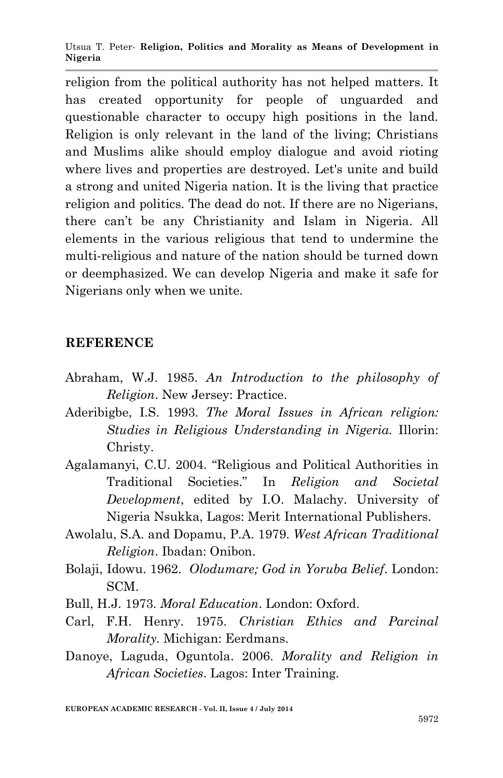Utsua T. Peter*-* **Religion, Politics and Morality as Means of Development in Nigeria**

religion from the political authority has not helped matters. It has created opportunity for people of unguarded and questionable character to occupy high positions in the land. Religion is only relevant in the land of the living; Christians and Muslims alike should employ dialogue and avoid rioting where lives and properties are destroyed. Let's unite and build a strong and united Nigeria nation. It is the living that practice religion and politics. The dead do not. If there are no Nigerians, there can't be any Christianity and Islam in Nigeria. All elements in the various religious that tend to undermine the multi-religious and nature of the nation should be turned down or deemphasized. We can develop Nigeria and make it safe for Nigerians only when we unite.

#### **REFERENCE**

- Abraham, W.J. 1985. *An Introduction to the philosophy of Religion*. New Jersey: Practice.
- Aderibigbe, I.S. 1993. *The Moral Issues in African religion: Studies in Religious Understanding in Nigeria.* Illorin: Christy.
- Agalamanyi, C.U. 2004. "Religious and Political Authorities in Traditional Societies." In *Religion and Societal Development*, edited by I.O. Malachy. University of Nigeria Nsukka, Lagos: Merit International Publishers.
- Awolalu, S.A. and Dopamu, P.A. 1979. *West African Traditional Religion*. Ibadan: Onibon.
- Bolaji, Idowu. 1962. *Olodumare; God in Yoruba Belief*. London: SCM.
- Bull, H.J. 1973. *Moral Education*. London: Oxford.
- Carl, F.H. Henry. 1975. *Christian Ethics and Parcinal Morality.* Michigan: Eerdmans.
- Danoye, Laguda, Oguntola. 2006. *Morality and Religion in African Societies*. Lagos: Inter Training.